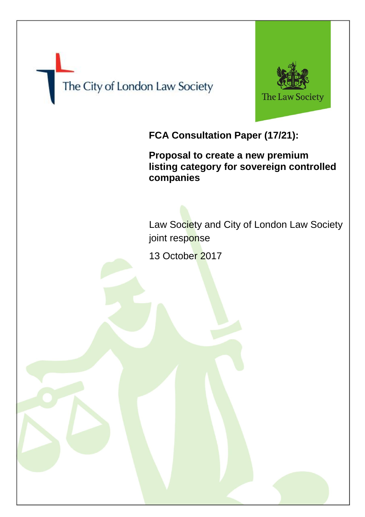



**FCA Consultation Paper (17/21):**

**Proposal to create a new premium listing category for sovereign controlled companies**

Law Society and City of London Law Society joint response

13 October 2017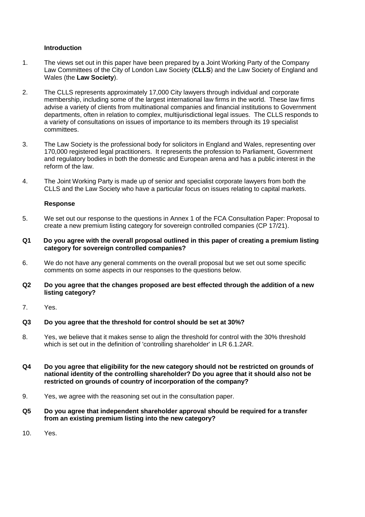## **Introduction**

- 1. The views set out in this paper have been prepared by a Joint Working Party of the Company Law Committees of the City of London Law Society (**CLLS**) and the Law Society of England and Wales (the **Law Society**).
- 2. The CLLS represents approximately 17,000 City lawyers through individual and corporate membership, including some of the largest international law firms in the world. These law firms advise a variety of clients from multinational companies and financial institutions to Government departments, often in relation to complex, multijurisdictional legal issues. The CLLS responds to a variety of consultations on issues of importance to its members through its 19 specialist committees.
- 3. The Law Society is the professional body for solicitors in England and Wales, representing over 170,000 registered legal practitioners. It represents the profession to Parliament, Government and regulatory bodies in both the domestic and European arena and has a public interest in the reform of the law.
- 4. The Joint Working Party is made up of senior and specialist corporate lawyers from both the CLLS and the Law Society who have a particular focus on issues relating to capital markets.

### **Response**

- 5. We set out our response to the questions in Annex 1 of the FCA Consultation Paper: Proposal to create a new premium listing category for sovereign controlled companies (CP 17/21).
- **Q1 Do you agree with the overall proposal outlined in this paper of creating a premium listing category for sovereign controlled companies?**
- 6. We do not have any general comments on the overall proposal but we set out some specific comments on some aspects in our responses to the questions below.
- **Q2 Do you agree that the changes proposed are best effected through the addition of a new listing category?**
- 7. Yes.

#### **Q3 Do you agree that the threshold for control should be set at 30%?**

- 8. Yes, we believe that it makes sense to align the threshold for control with the 30% threshold which is set out in the definition of 'controlling shareholder' in LR 6.1.2AR.
- **Q4 Do you agree that eligibility for the new category should not be restricted on grounds of national identity of the controlling shareholder? Do you agree that it should also not be restricted on grounds of country of incorporation of the company?**
- 9. Yes, we agree with the reasoning set out in the consultation paper.
- **Q5 Do you agree that independent shareholder approval should be required for a transfer from an existing premium listing into the new category?**
- 10. Yes.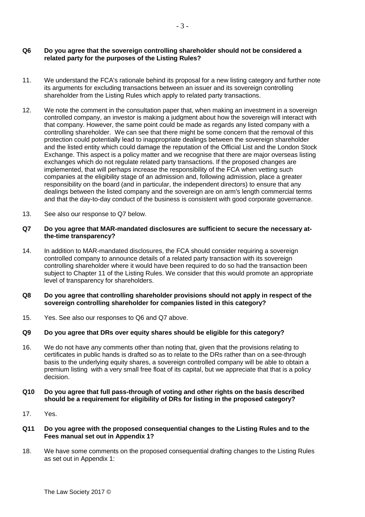## **Q6 Do you agree that the sovereign controlling shareholder should not be considered a related party for the purposes of the Listing Rules?**

- 11. We understand the FCA's rationale behind its proposal for a new listing category and further note its arguments for excluding transactions between an issuer and its sovereign controlling shareholder from the Listing Rules which apply to related party transactions.
- 12. We note the comment in the consultation paper that, when making an investment in a sovereign controlled company, an investor is making a judgment about how the sovereign will interact with that company. However, the same point could be made as regards any listed company with a controlling shareholder. We can see that there might be some concern that the removal of this protection could potentially lead to inappropriate dealings between the sovereign shareholder and the listed entity which could damage the reputation of the Official List and the London Stock Exchange. This aspect is a policy matter and we recognise that there are major overseas listing exchanges which do not regulate related party transactions. If the proposed changes are implemented, that will perhaps increase the responsibility of the FCA when vetting such companies at the eligibility stage of an admission and, following admission, place a greater responsibility on the board (and in particular, the independent directors) to ensure that any dealings between the listed company and the sovereign are on arm's length commercial terms and that the day-to-day conduct of the business is consistent with good corporate governance.
- 13. See also our response to Q7 below.

### **Q7 Do you agree that MAR-mandated disclosures are sufficient to secure the necessary atthe-time transparency?**

14. In addition to MAR-mandated disclosures, the FCA should consider requiring a sovereign controlled company to announce details of a related party transaction with its sovereign controlling shareholder where it would have been required to do so had the transaction been subject to Chapter 11 of the Listing Rules. We consider that this would promote an appropriate level of transparency for shareholders.

### **Q8 Do you agree that controlling shareholder provisions should not apply in respect of the sovereign controlling shareholder for companies listed in this category?**

15. Yes. See also our responses to Q6 and Q7 above.

# **Q9 Do you agree that DRs over equity shares should be eligible for this category?**

- 16. We do not have any comments other than noting that, given that the provisions relating to certificates in public hands is drafted so as to relate to the DRs rather than on a see-through basis to the underlying equity shares, a sovereign controlled company will be able to obtain a premium listing with a very small free float of its capital, but we appreciate that that is a policy decision.
- **Q10 Do you agree that full pass-through of voting and other rights on the basis described should be a requirement for eligibility of DRs for listing in the proposed category?**
- 17. Yes.

### **Q11 Do you agree with the proposed consequential changes to the Listing Rules and to the Fees manual set out in Appendix 1?**

18. We have some comments on the proposed consequential drafting changes to the Listing Rules as set out in Appendix 1: